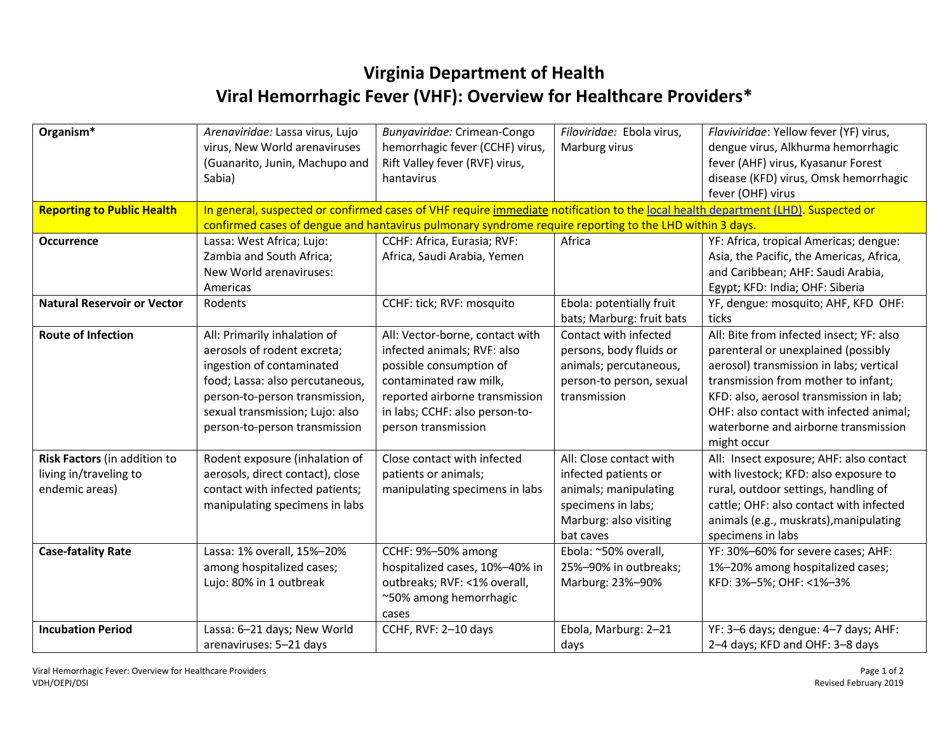## **Virginia Department of Health Viral Hemorrhagic Fever (VHF): Overview for Healthcare Providers\***

| Organism*                          | Arenaviridae: Lassa virus, Lujo                                                                                                   | Bunyaviridae: Crimean-Congo     | Filoviridae: Ebola virus, | Flaviviridae: Yellow fever (YF) virus,   |  |  |
|------------------------------------|-----------------------------------------------------------------------------------------------------------------------------------|---------------------------------|---------------------------|------------------------------------------|--|--|
|                                    | virus, New World arenaviruses                                                                                                     | hemorrhagic fever (CCHF) virus, | Marburg virus             | dengue virus, Alkhurma hemorrhagic       |  |  |
|                                    | (Guanarito, Junin, Machupo and                                                                                                    | Rift Valley fever (RVF) virus,  |                           | fever (AHF) virus, Kyasanur Forest       |  |  |
|                                    | Sabia)                                                                                                                            | hantavirus                      |                           | disease (KFD) virus, Omsk hemorrhagic    |  |  |
|                                    |                                                                                                                                   |                                 |                           | fever (OHF) virus                        |  |  |
| <b>Reporting to Public Health</b>  | In general, suspected or confirmed cases of VHF require immediate notification to the local health department (LHD). Suspected or |                                 |                           |                                          |  |  |
|                                    | confirmed cases of dengue and hantavirus pulmonary syndrome require reporting to the LHD within 3 days.                           |                                 |                           |                                          |  |  |
| Occurrence                         | Lassa: West Africa; Lujo:                                                                                                         | CCHF: Africa, Eurasia; RVF:     | Africa                    | YF: Africa, tropical Americas; dengue:   |  |  |
|                                    | Zambia and South Africa;                                                                                                          | Africa, Saudi Arabia, Yemen     |                           | Asia, the Pacific, the Americas, Africa, |  |  |
|                                    | New World arenaviruses:                                                                                                           |                                 |                           | and Caribbean; AHF: Saudi Arabia,        |  |  |
|                                    | Americas                                                                                                                          |                                 |                           | Egypt; KFD: India; OHF: Siberia          |  |  |
| <b>Natural Reservoir or Vector</b> | Rodents                                                                                                                           | CCHF: tick; RVF: mosquito       | Ebola: potentially fruit  | YF, dengue: mosquito; AHF, KFD OHF:      |  |  |
|                                    |                                                                                                                                   |                                 | bats; Marburg: fruit bats | ticks                                    |  |  |
| <b>Route of Infection</b>          | All: Primarily inhalation of                                                                                                      | All: Vector-borne, contact with | Contact with infected     | All: Bite from infected insect; YF: also |  |  |
|                                    | aerosols of rodent excreta;                                                                                                       | infected animals; RVF: also     | persons, body fluids or   | parenteral or unexplained (possibly      |  |  |
|                                    | ingestion of contaminated                                                                                                         | possible consumption of         | animals; percutaneous,    | aerosol) transmission in labs; vertical  |  |  |
|                                    | food; Lassa: also percutaneous,                                                                                                   | contaminated raw milk,          | person-to person, sexual  | transmission from mother to infant;      |  |  |
|                                    | person-to-person transmission,                                                                                                    | reported airborne transmission  | transmission              | KFD: also, aerosol transmission in lab;  |  |  |
|                                    | sexual transmission; Lujo: also                                                                                                   | in labs; CCHF: also person-to-  |                           | OHF: also contact with infected animal;  |  |  |
|                                    | person-to-person transmission                                                                                                     | person transmission             |                           | waterborne and airborne transmission     |  |  |
|                                    |                                                                                                                                   |                                 |                           | might occur                              |  |  |
| Risk Factors (in addition to       | Rodent exposure (inhalation of                                                                                                    | Close contact with infected     | All: Close contact with   | All: Insect exposure; AHF: also contact  |  |  |
| living in/traveling to             | aerosols, direct contact), close                                                                                                  | patients or animals;            | infected patients or      | with livestock; KFD: also exposure to    |  |  |
| endemic areas)                     | contact with infected patients;                                                                                                   | manipulating specimens in labs  | animals; manipulating     | rural, outdoor settings, handling of     |  |  |
|                                    | manipulating specimens in labs                                                                                                    |                                 | specimens in labs;        | cattle; OHF: also contact with infected  |  |  |
|                                    |                                                                                                                                   |                                 | Marburg: also visiting    | animals (e.g., muskrats), manipulating   |  |  |
|                                    |                                                                                                                                   |                                 | bat caves                 | specimens in labs                        |  |  |
| <b>Case-fatality Rate</b>          | Lassa: 1% overall, 15%-20%                                                                                                        | <b>CCHF: 9%-50% among</b>       | Ebola: ~50% overall,      | YF: 30%-60% for severe cases; AHF:       |  |  |
|                                    | among hospitalized cases;                                                                                                         | hospitalized cases, 10%-40% in  | 25%-90% in outbreaks;     | 1%-20% among hospitalized cases;         |  |  |
|                                    | Lujo: 80% in 1 outbreak                                                                                                           | outbreaks; RVF: <1% overall,    | Marburg: 23%-90%          | KFD: 3%-5%; OHF: <1%-3%                  |  |  |
|                                    |                                                                                                                                   | ~50% among hemorrhagic          |                           |                                          |  |  |
|                                    |                                                                                                                                   | cases                           |                           |                                          |  |  |
| <b>Incubation Period</b>           | Lassa: 6-21 days; New World                                                                                                       | CCHF, RVF: 2-10 days            | Ebola, Marburg: 2-21      | YF: 3-6 days; dengue: 4-7 days; AHF:     |  |  |
|                                    | arenaviruses: 5-21 days                                                                                                           |                                 | days                      | 2-4 days; KFD and OHF: 3-8 days          |  |  |